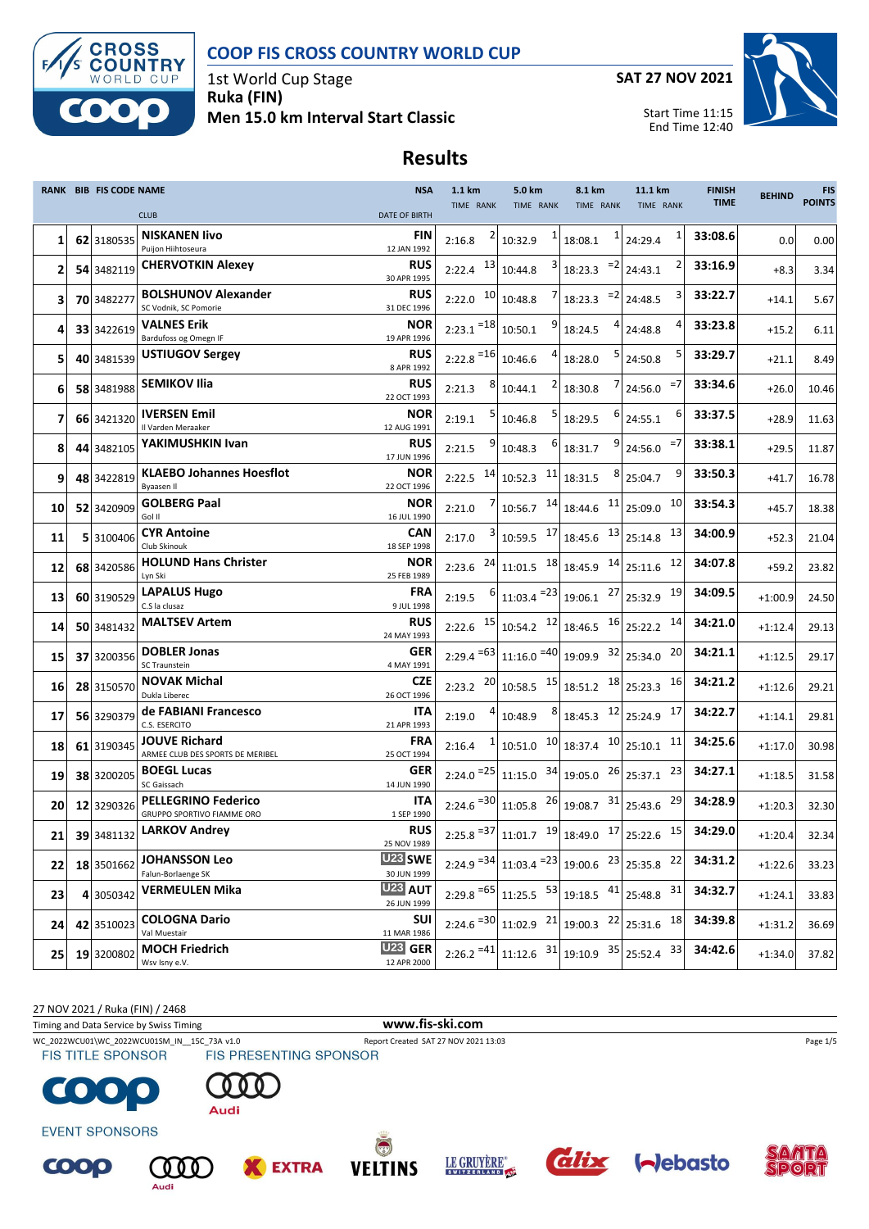



1st World Cup Stage **Ruka (FIN) Men 15.0 km Interval Start Classic** **SAT 27 NOV 2021**

Start Time 11:15



## **Results**

|    | <b>RANK BIB FIS CODE NAME</b> | <b>CLUB</b>                                                   | <b>NSA</b><br><b>DATE OF BIRTH</b>   | 1.1 km<br>TIME RANK             | 5.0 km<br>TIME RANK                                                          | 8.1 km<br>TIME RANK                                                                                  | 11.1 km<br>TIME RANK                                               | <b>FINISH</b><br><b>TIME</b> | <b>BEHIND</b> | <b>FIS</b><br><b>POINTS</b> |
|----|-------------------------------|---------------------------------------------------------------|--------------------------------------|---------------------------------|------------------------------------------------------------------------------|------------------------------------------------------------------------------------------------------|--------------------------------------------------------------------|------------------------------|---------------|-----------------------------|
| 1  | 62 3180535                    | <b>NISKANEN livo</b><br>Puijon Hiihtoseura                    | FIN<br>12 JAN 1992                   | 2:16.8                          | 10:32.9                                                                      | 1<br>18:08.1                                                                                         | 1<br>24:29.4                                                       | 33:08.6                      | 0.0           | 0.00                        |
| 2  | 54 3482119                    | <b>CHERVOTKIN Alexey</b>                                      | <b>RUS</b><br>30 APR 1995            | $2:22.4$ $13$                   | 10:44.8                                                                      | $=2$<br>18:23.3                                                                                      | 24:43.1                                                            | 33:16.9                      | $+8.3$        | 3.34                        |
| з  | 70 3482277                    | <b>BOLSHUNOV Alexander</b><br>SC Vodnik, SC Pomorie           | <b>RUS</b><br>31 DEC 1996            | 10<br>2:22.0                    | 10:48.8                                                                      | $= 2$<br>18:23.3                                                                                     | 24:48.5                                                            | 33:22.7                      | $+14.1$       | 5.67                        |
| 4  | 33 3422619                    | VALNES Erik<br>Bardufoss og Omegn IF                          | <b>NOR</b><br>19 APR 1996            | $2:23.1$ <sup>=18</sup> 10:50.1 |                                                                              | 4<br>18:24.5                                                                                         | 24:48.8                                                            | 33:23.8                      | $+15.2$       | 6.11                        |
| 5  | 40 3481539                    | <b>USTIUGOV Sergey</b>                                        | <b>RUS</b><br>8 APR 1992             | $2:22.8$ <sup>=16</sup>         | 10:46.6                                                                      | $\mathbf{5}$<br>18:28.0                                                                              | 24:50.8                                                            | 33:29.7                      | $+21.1$       | 8.49                        |
| 6  | 58 3481988                    | <b>SEMIKOV Ilia</b>                                           | <b>RUS</b><br>22 OCT 1993            | 2:21.3                          | 10:44.1                                                                      | 18:30.8                                                                                              | =7<br>24:56.0                                                      | 33:34.6                      | $+26.0$       | 10.46                       |
| 7  | 66 3421320                    | <b>IVERSEN Emil</b><br>Il Varden Meraaker                     | <b>NOR</b><br>12 AUG 1991            | 2:19.1                          | 10:46.8                                                                      | $6 \mid$<br>18:29.5                                                                                  | 6<br>24:55.1                                                       | 33:37.5                      | $+28.9$       | 11.63                       |
| 8  | 44 3482105                    | YAKIMUSHKIN Ivan                                              | <b>RUS</b><br>17 JUN 1996            | 2:21.5                          | 10:48.3                                                                      | 9 <br>18:31.7                                                                                        | $=7$<br>24:56.0                                                    | 33:38.1                      | $+29.5$       | 11.87                       |
| 9  | 48 3422819                    | <b>KLAEBO Johannes Hoesflot</b><br><b>Byaasen II</b>          | <b>NOR</b><br>22 OCT 1996            | 14<br>2:22.5                    | $10:52.3$ $11$ 18:31.5                                                       | $8 \mid$                                                                                             | 9<br>25:04.7                                                       | 33:50.3                      | $+41.7$       | 16.78                       |
| 10 | 52 3420909                    | <b>GOLBERG Paal</b><br>Gol II                                 | <b>NOR</b><br>16 JUL 1990            | 2:21.0                          |                                                                              | $10:56.7$ $14 \begin{bmatrix} 18:44.6 \\ 1 \end{bmatrix}$ 25:09.0                                    | 10                                                                 | 33:54.3                      | $+45.7$       | 18.38                       |
| 11 | 5 3100406                     | CYR Antoine<br>Club Skinouk                                   | <b>CAN</b><br>18 SEP 1998            | 2:17.0                          | $10:59.5$ $17 \mid 18:45.6$                                                  |                                                                                                      | $13$ 25:14.8<br>13                                                 | 34:00.9                      | $+52.3$       | 21.04                       |
| 12 | 68 3420586                    | <b>HOLUND Hans Christer</b><br>Lyn Ski                        | <b>NOR</b><br>25 FEB 1989            | 24<br>2:23.6                    |                                                                              | $11:01.5$ $18 \mid 18:45.9$ $14 \mid 25:11.6$                                                        | 12                                                                 | 34:07.8                      | $+59.2$       | 23.82                       |
| 13 | 60 3190529                    | <b>LAPALUS Hugo</b><br>C.S la clusaz                          | FRA<br>9 JUL 1998                    | 2:19.5                          | $11:03.4$ <sup>=23</sup> 19:06.1                                             |                                                                                                      | 27 25:32.9<br>19                                                   | 34:09.5                      | $+1:00.9$     | 24.50                       |
| 14 | 50 3481432                    | <b>MALTSEV Artem</b>                                          | <b>RUS</b><br>24 MAY 1993            | 15<br>2:22.6                    |                                                                              | 10:54.2 $12 \mid 18:46.5$ $16 \mid 25:22.2$                                                          | 14                                                                 | 34:21.0                      | $+1:12.4$     | 29.13                       |
| 15 | 37 3200356                    | <b>DOBLER Jonas</b><br><b>SC Traunstein</b>                   | <b>GER</b><br>4 MAY 1991             |                                 | $2:29.4$ <sup>=63</sup> 11:16.0 =40 19:09.9 32 25:34.0                       |                                                                                                      | 20                                                                 | 34:21.1                      | $+1:12.5$     | 29.17                       |
| 16 | 28 3150570                    | <b>NOVAK Michal</b><br>Dukla Liberec                          | <b>CZE</b><br>26 OCT 1996            | 20<br>2:23.2                    |                                                                              | $10:58.5$ $15 \begin{array}{ c c c c c } \hline 18:51.2 & 18 \end{array}$ 25:23.3                    | 16                                                                 | 34:21.2                      | $+1:12.6$     | 29.21                       |
| 17 | 56 3290379                    | de FABIANI Francesco<br>C.S. ESERCITO                         | ITA<br>21 APR 1993                   | 2:19.0                          | 8<br>10:48.9                                                                 | 18:45.3 12 25:24.9                                                                                   | 17                                                                 | 34:22.7                      | $+1:14.1$     | 29.81                       |
| 18 | 61 3190345                    | <b>JOUVE Richard</b><br>ARMEE CLUB DES SPORTS DE MERIBEL      | <b>FRA</b><br>25 OCT 1994            | 2:16.4                          | 10:51.0                                                                      | $10 \vert 18:37.4$                                                                                   | $10$ 25:10.1<br>11                                                 | 34:25.6                      | $+1:17.0$     | 30.98                       |
| 19 | 38 3200205                    | <b>BOEGL Lucas</b><br>SC Gaissach                             | <b>GER</b><br>14 JUN 1990            |                                 | $2:24.0$ <sup>=25</sup> 11:15.0 <sup>34</sup> 19:05.0                        |                                                                                                      | 23<br>$26$ <sub>25:37.1</sub>                                      | 34:27.1                      | $+1:18.5$     | 31.58                       |
| 20 | 12 3290326                    | <b>PELLEGRINO Federico</b><br>GRUPPO SPORTIVO FIAMME ORO      | <b>ITA</b><br>1 SEP 1990             |                                 | $2:24.6$ <sup>=30</sup> 11:05.8 <sup>26</sup> 19:08.7 <sup>31</sup> 25:43.6  |                                                                                                      | 29                                                                 | 34:28.9                      | $+1:20.3$     | 32.30                       |
| 21 | 39 3481132                    | <b>LARKOV Andrey</b>                                          | <b>RUS</b><br>25 NOV 1989<br>U23 SWE |                                 |                                                                              |                                                                                                      | 2:25.8 $^{-37}$ 11:01.7 $^{-19}$ 18:49.0 $^{-17}$ 25:22.6 $^{-15}$ | 34:29.0                      | $+1:20.4$     | 32.34                       |
| 22 | 18 3501662                    | <b>JOHANSSON Leo</b><br>Falun-Borlaenge SK                    | 30 JUN 1999<br><b>U23 AUT</b>        |                                 | $2:24.9$ <sup>=34</sup> 11:03.4 <sup>=23</sup> 19:00.6 <sup>23</sup> 25:35.8 |                                                                                                      | 22                                                                 | 34:31.2                      | $+1:22.6$     | 33.23                       |
| 23 | 4 3050342                     | <b>VERMEULEN Mika</b>                                         | 26 JUN 1999                          |                                 | $2:29.8$ <sup>=65</sup> 11:25.5 53 19:18.5 41 25:48.8                        |                                                                                                      | 31                                                                 | 34:32.7                      | $+1:24.1$     | 33.83                       |
| 24 | 42 3510023                    | <b>COLOGNA Dario</b><br>Val Muestair<br><b>MOCH Friedrich</b> | SUI<br>11 MAR 1986<br>U23 GER        |                                 | $2:24.6$ <sup>=30</sup> 11:02.9 <sup>21</sup> 19:00.3 <sup>22</sup> 25:31.6  |                                                                                                      | 18                                                                 | 34:39.8                      | $+1:31.2$     | 36.69                       |
| 25 | 19 3200802                    | Wsv Isny e.V.                                                 | 12 APR 2000                          | $2:26.2 = 41$                   |                                                                              | $\begin{array}{ c c c c c c c c c } \hline 11:12.6 & 31 & 19:10.9 & 35 & 25:52.4 \hline \end{array}$ | 33                                                                 | 34:42.6                      | $+1:34.0$     | 37.82                       |

27 NOV 2021 / Ruka (FIN) / 2468

Timing and Data Service by Swiss Timing **www.fis-ski.com**

WC\_2022WCU01\WC\_2022WCU01SM\_IN\_\_15C\_73A v1.0 Report Created SAT 27 NOV 2021 13:03 Page 1/5<br>
FIS TITLE SPONSOR FIS PRESENTING SPONSOR

 $QQQ$ 

Audi



**EVENT SPONSORS** 

COOP











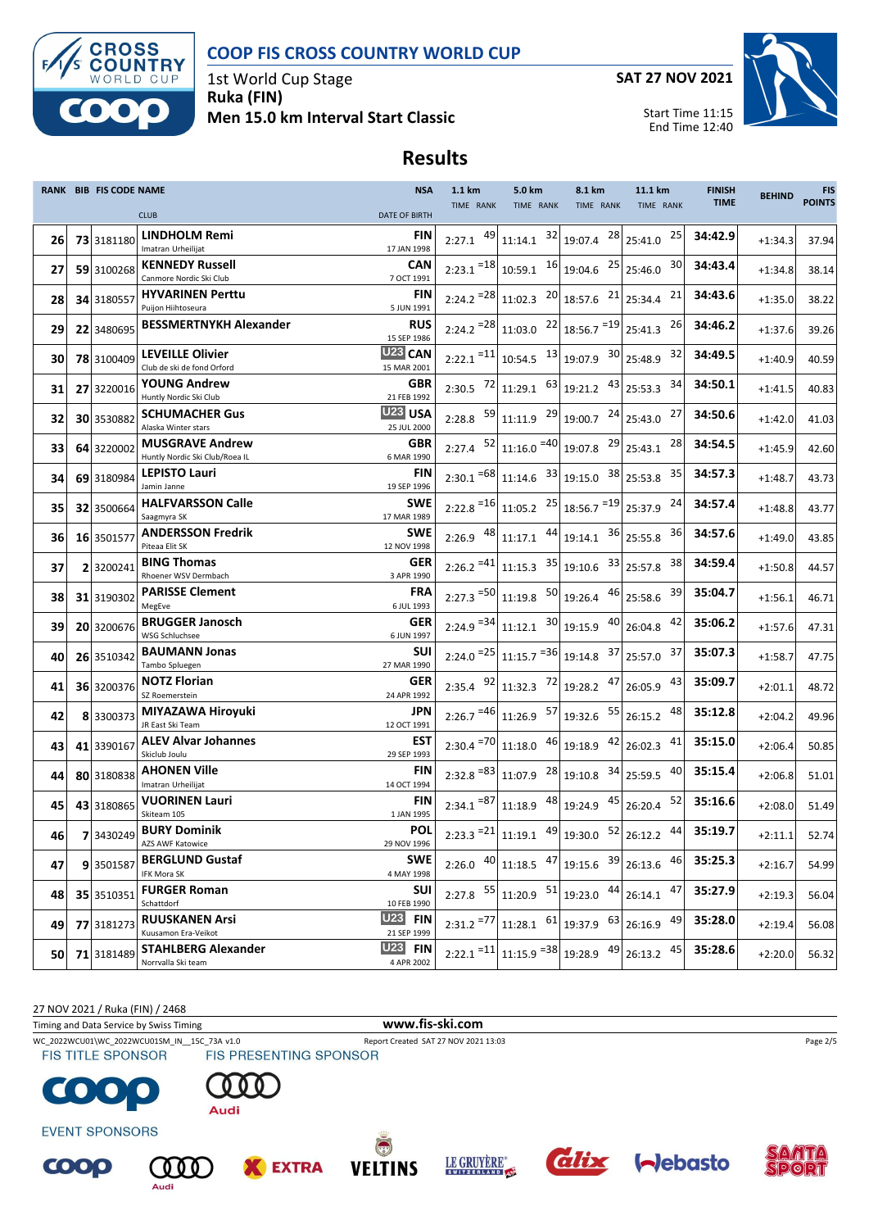



1st World Cup Stage **Ruka (FIN) Men 15.0 km Interval Start Classic** **SAT 27 NOV 2021**

Start Time 11:15



## **Results**

|    | RANK BIB FIS CODE NAME |                                                          | <b>NSA</b>                         | 1.1 km                  | 5.0 km                                                                                                                                                  | 8.1 km                              | 11.1 km                                                         | <b>FINISH</b> | <b>BEHIND</b> | <b>FIS</b>    |
|----|------------------------|----------------------------------------------------------|------------------------------------|-------------------------|---------------------------------------------------------------------------------------------------------------------------------------------------------|-------------------------------------|-----------------------------------------------------------------|---------------|---------------|---------------|
|    |                        | <b>CLUB</b>                                              | <b>DATE OF BIRTH</b>               | TIME RANK               | TIME RANK                                                                                                                                               | TIME RANK                           | TIME RANK                                                       | <b>TIME</b>   |               | <b>POINTS</b> |
| 26 | 73 3181180             | LINDHOLM Remi<br>Imatran Urheilijat                      | FIN<br>17 JAN 1998                 |                         | 2:27.1 $\left.49\right $ 11:14.1 $\left.32\right $ 19:07.4                                                                                              | 28                                  | 25<br>25:41.0                                                   | 34:42.9       | $+1:34.3$     | 37.94         |
| 27 | 59 3100268             | <b>KENNEDY Russell</b><br>Canmore Nordic Ski Club        | <b>CAN</b><br>7 OCT 1991           |                         | $2:23.1$ <sup>=18</sup> 10:59.1 <sup>16</sup> 19:04.6 <sup>25</sup>                                                                                     |                                     | 30<br>25:46.0                                                   | 34:43.4       | $+1:34.8$     | 38.14         |
| 28 | 34 3180557             | <b>HYVARINEN Perttu</b><br>Puijon Hiihtoseura            | FIN<br>5 JUN 1991                  |                         | $2:24.2$ <sup>=28</sup> 11:02.3 <sup>20</sup> 18:57.6 <sup>21</sup> 25:34.4                                                                             |                                     | 21                                                              | 34:43.6       | $+1:35.0$     | 38.22         |
| 29 | 22 3480695             | <b>BESSMERTNYKH Alexander</b>                            | <b>RUS</b>                         |                         | $2:24.2$ <sup>=28</sup> 11:03.0 <sup>22</sup> 18:56.7 <sup>=19</sup> 25:41.3                                                                            |                                     | 26                                                              | 34:46.2       | $+1:37.6$     | 39.26         |
| 30 | 78 3100409             | <b>LEVEILLE Olivier</b>                                  | 15 SEP 1986<br>U <sub>23</sub> CAN |                         | $2:22.1$ <sup>=11</sup> 10:54.5 <sup>13</sup> 19:07.9 <sup>30</sup> 25:48.9                                                                             |                                     | 32                                                              | 34:49.5       | $+1:40.9$     | 40.59         |
| 31 | 27 3220016             | Club de ski de fond Orford<br><b>YOUNG Andrew</b>        | 15 MAR 2001<br><b>GBR</b>          |                         | 2:30.5 $\begin{bmatrix} 72 \\ 11 \end{bmatrix}$ 11:29.1 $\begin{bmatrix} 63 \\ 19 \end{bmatrix}$ 121.2 $\begin{bmatrix} 43 \\ 25 \end{bmatrix}$ 25:53.3 |                                     | 34                                                              | 34:50.1       | $+1:41.5$     | 40.83         |
|    |                        | Huntly Nordic Ski Club<br><b>SCHUMACHER Gus</b>          | 21 FEB 1992<br><b>U23 USA</b>      |                         |                                                                                                                                                         |                                     | 27                                                              | 34:50.6       |               |               |
| 32 | 30 3530882             | Alaska Winter stars                                      | 25 JUL 2000                        |                         |                                                                                                                                                         |                                     |                                                                 |               | $+1:42.0$     | 41.03         |
| 33 | 64 3220002             | <b>MUSGRAVE Andrew</b><br>Huntly Nordic Ski Club/Roea IL | <b>GBR</b><br>6 MAR 1990           |                         | $2:27.4$ $52 \mid 11:16.0 = 40 \mid 19:07.8$                                                                                                            |                                     | $29$ 25:43.1<br>28                                              | 34:54.5       | $+1:45.9$     | 42.60         |
| 34 | 69 3180984             | <b>LEPISTO Lauri</b><br>Jamin Janne                      | FIN<br>19 SEP 1996                 |                         | $2:30.1$ = 68 11:14.6 33 19:15.0 38 25:53.8                                                                                                             |                                     | 35                                                              | 34:57.3       | $+1:48.7$     | 43.73         |
| 35 | 32 3500664             | <b>HALFVARSSON Calle</b><br>Saagmyra SK                  | <b>SWE</b><br>17 MAR 1989          |                         | $2:22.8$ <sup>=16</sup> 11:05.2 <sup>25</sup> 18:56.7 <sup>=19</sup> 25:37.9                                                                            |                                     | 24                                                              | 34:57.4       | $+1:48.8$     | 43.77         |
| 36 | 16 3501577             | <b>ANDERSSON Fredrik</b><br>Piteaa Elit SK               | <b>SWE</b><br>12 NOV 1998          |                         | 2:26.9 $\begin{array}{c c} 48 & 11:17.1 \\ 44 & 19:14.1 \end{array}$                                                                                    |                                     | 36<br>36 25:55.8                                                | 34:57.6       | $+1:49.0$     | 43.85         |
| 37 | 2 3200241              | <b>BING Thomas</b><br>Rhoener WSV Dermbach               | GER<br>3 APR 1990                  |                         | $2:26.2$ <sup>=41</sup> 11:15.3 <sup>35</sup> 19:10.6 <sup>33</sup> 25:57.8                                                                             |                                     | 38                                                              | 34:59.4       | $+1:50.8$     | 44.57         |
| 38 | 31 3190302             | <b>PARISSE Clement</b><br>MegEve                         | <b>FRA</b><br>6 JUL 1993           |                         | $2:27.3$ <sup>=50</sup> 11:19.8 <sup>50</sup> 19:26.4                                                                                                   |                                     | 39<br>46 25:58.6                                                | 35:04.7       | $+1:56.1$     | 46.71         |
| 39 | 20 3200676             | <b>BRUGGER Janosch</b><br>WSG Schluchsee                 | GER<br>6 JUN 1997                  |                         | $2:24.9$ <sup>=34</sup> 11:12.1 <sup>30</sup> 19:15.9 <sup>40</sup> 26:04.8                                                                             |                                     | 42                                                              | 35:06.2       | $+1:57.6$     | 47.31         |
| 40 | 26 3510342             | <b>BAUMANN Jonas</b><br>Tambo Spluegen                   | <b>SUI</b><br>27 MAR 1990          |                         | $2:24.0$ <sup>=25</sup> 11:15.7 <sup>=36</sup> 19:14.8 <sup>37</sup> 25:57.0                                                                            |                                     | 37                                                              | 35:07.3       | $+1:58.7$     | 47.75         |
| 41 | 36 3200376             | <b>NOTZ Florian</b><br>SZ Roemerstein                    | GER<br>24 APR 1992                 |                         | 2:35.4 $92$ 11:32.3 $72$ 19:28.2 $47$                                                                                                                   |                                     | 43<br>26:05.9                                                   | 35:09.7       | $+2:01.1$     | 48.72         |
| 42 | 8 3300373              | MIYAZAWA Hiroyuki<br>JR East Ski Team                    | JPN<br>12 OCT 1991                 |                         | $2:26.7$ <sup>=46</sup> 11:26.9 $57$ 19:32.6 $55$ 26:15.2                                                                                               |                                     | 48                                                              | 35:12.8       | $+2:04.2$     | 49.96         |
| 43 | 41 3390167             | <b>ALEV Alvar Johannes</b><br>Skiclub Joulu              | EST<br>29 SEP 1993                 |                         | $2:30.4$ <sup>=70</sup> 11:18.0 46 19:18.9                                                                                                              |                                     | $42$ 26:02.3<br>41                                              | 35:15.0       | $+2:06.4$     | 50.85         |
| 44 | 80 3180838             | <b>AHONEN Ville</b><br>Imatran Urheilijat                | FIN<br>14 OCT 1994                 |                         | $2:32.8$ <sup>=83</sup> 11:07.9 <sup>28</sup> 19:10.8                                                                                                   |                                     | $34$ 25:59.5<br>40                                              | 35:15.4       | $+2:06.8$     | 51.01         |
| 45 | 43 3180865             | <b>VUORINEN Lauri</b><br>Skiteam 105                     | <b>FIN</b><br>1 JAN 1995           |                         | $2:34.1$ <sup>=87</sup> 11:18.9 $48$ 19:24.9 $45$ 26:20.4                                                                                               |                                     | 52                                                              | 35:16.6       | $+2:08.0$     | 51.49         |
| 46 |                        | 7 3430249 BURY Dominik<br>AZS AWF Katowice               | <b>POL</b><br>29 NOV 1996          |                         |                                                                                                                                                         |                                     | 2:23.3 $^{-21}$ 11:19.1 $^{49}$ 19:30.0 $^{52}$ 26:12.2 $^{44}$ | 35:19.7       | $+2:11.1$     | 52.74         |
| 47 | 93501587               | <b>BERGLUND Gustaf</b><br><b>IFK Mora SK</b>             | <b>SWE</b><br>4 MAY 1998           |                         | 2:26.0 $40 \begin{bmatrix} 11.18.5 \\ 47 \end{bmatrix}$ 19:15.6 $39 \begin{bmatrix} 26.13.6 \\ 27 \end{bmatrix}$                                        |                                     | 46                                                              | 35:25.3       | $+2:16.7$     | 54.99         |
| 48 | 35 3510351             | <b>FURGER Roman</b><br>Schattdorf                        | <b>SUI</b><br>10 FEB 1990          |                         | 2:27.8 $55 \begin{array}{ c c c c } \hline 551 & 11:20.9 & 51 \end{array}$ 19:23.0                                                                      |                                     | 47<br>$44$ 26:14.1                                              | 35:27.9       | $+2:19.3$     | 56.04         |
| 49 | 77 3181273             | <b>RUUSKANEN Arsi</b><br>Kuusamon Era-Veikot             | <b>U23 FIN</b><br>21 SEP 1999      | $2:31.2$ <sup>=77</sup> |                                                                                                                                                         | $11:28.1$ $61$ 19:37.9 $63$ 26:16.9 | 49                                                              | 35:28.0       | $+2:19.4$     | 56.08         |
| 50 | 71 3181489             | <b>STAHLBERG Alexander</b><br>Norrvalla Ski team         | $U23$ FIN<br>4 APR 2002            |                         | $2:22.1$ <sup>=11</sup> 11:15.9 <sup>=38</sup> 19:28.9 <sup>49</sup>                                                                                    |                                     | 45<br>26:13.2                                                   | 35:28.6       | $+2:20.0$     | 56.32         |

27 NOV 2021 / Ruka (FIN) / 2468

Timing and Data Service by Swiss Timing **www.fis-ski.com**

WC\_2022WCU01\WC\_2022WCU01SM\_IN\_\_15C\_73A v1.0 Report Created SAT 27 NOV 2021 13:03 Page 2/5 Page 2/5<br>
FIS TITLE SPONSOR FIS PRESENTING SPONSOR



**EVENT SPONSORS** 

COOP





**EXTRA** 











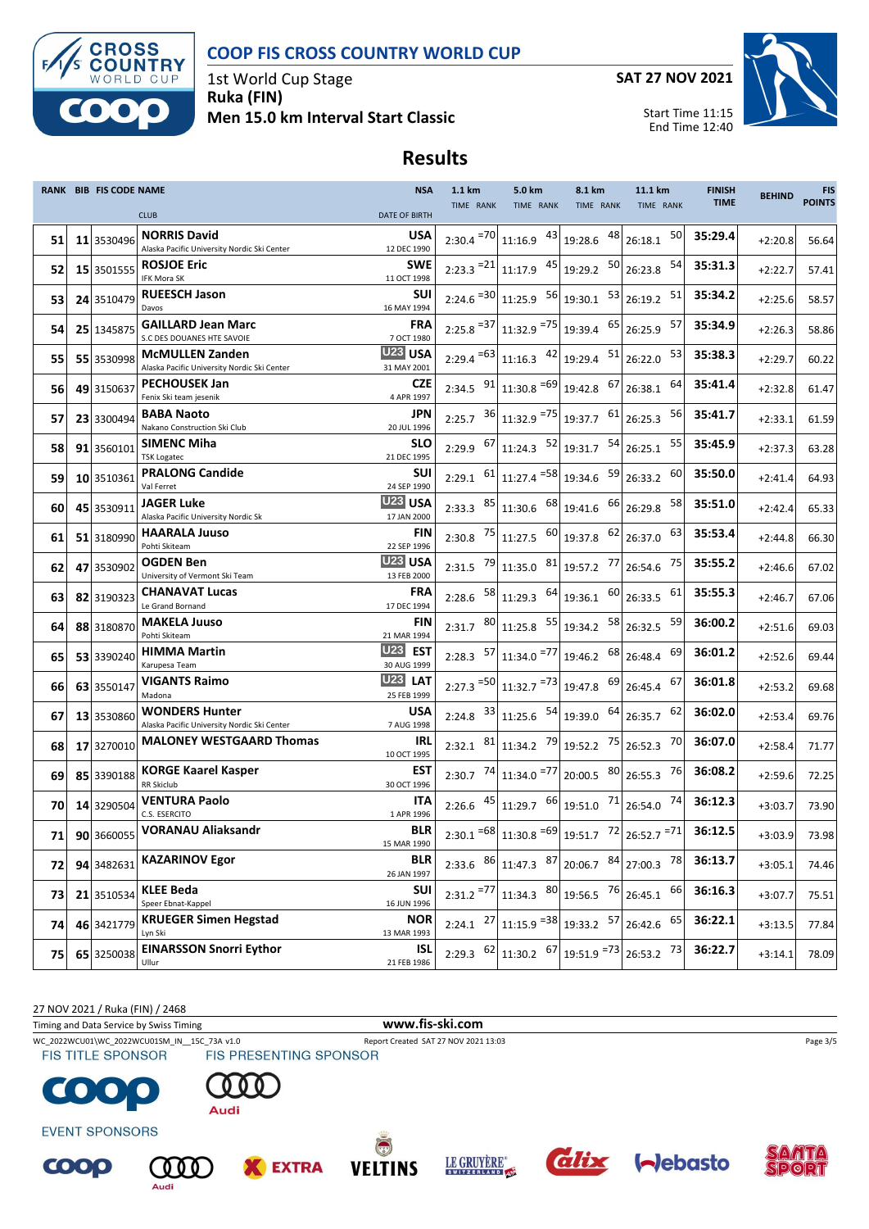



1st World Cup Stage **Ruka (FIN) Men 15.0 km Interval Start Classic** **SAT 27 NOV 2021**

Start Time 11:15



## **Results**

|    |    | <b>RANK BIB FIS CODE NAME</b> |                                                                       | <b>NSA</b>                         | 1.1 km        | 5.0 km                                                                                                                                                                                    | 8.1 km    | 11.1 km                                                        | <b>FINISH</b> | <b>BEHIND</b> | <b>FIS</b>    |
|----|----|-------------------------------|-----------------------------------------------------------------------|------------------------------------|---------------|-------------------------------------------------------------------------------------------------------------------------------------------------------------------------------------------|-----------|----------------------------------------------------------------|---------------|---------------|---------------|
|    |    |                               | <b>CLUB</b>                                                           | <b>DATE OF BIRTH</b>               | TIME RANK     | TIME RANK                                                                                                                                                                                 | TIME RANK | TIME RANK                                                      | <b>TIME</b>   |               | <b>POINTS</b> |
| 51 |    | 11 3530496                    | <b>NORRIS David</b><br>Alaska Pacific University Nordic Ski Center    | <b>USA</b><br>12 DEC 1990          |               | $2:30.4$ <sup>=70</sup> 11:16.9 $43$ 19:28.6                                                                                                                                              | 48        | 50<br>26:18.1                                                  | 35:29.4       | $+2:20.8$     | 56.64         |
| 52 |    | 15 3501555                    | <b>ROSJOE Eric</b><br>IFK Mora SK                                     | <b>SWE</b><br>11 OCT 1998          |               | $2:23.3$ <sup>=21</sup> 11:17.9 $45$ 19:29.2                                                                                                                                              | 50        | 54<br>26:23.8                                                  | 35:31.3       | $+2:22.7$     | 57.41         |
| 53 |    | 24 3510479                    | <b>RUEESCH Jason</b><br>Davos                                         | <b>SUI</b><br>16 MAY 1994          |               | $2:24.6$ <sup>=30</sup> 11:25.9 $56$ 19:30.1                                                                                                                                              |           | $53$ 26:19.2<br>51                                             | 35:34.2       | $+2:25.6$     | 58.57         |
| 54 |    | 25 1345875                    | <b>GAILLARD Jean Marc</b><br>S.C DES DOUANES HTE SAVOIE               | <b>FRA</b><br>7 OCT 1980           |               | $2:25.8$ <sup>=37</sup> 11:32.9 <sup>=75</sup> 19:39.4 <sup>65</sup> 26:25.9                                                                                                              |           | 57                                                             | 35:34.9       | $+2:26.3$     | 58.86         |
| 55 |    | 55 3530998                    | <b>McMULLEN Zanden</b><br>Alaska Pacific University Nordic Ski Center | U <sub>23</sub> USA<br>31 MAY 2001 |               | $2:29.4$ <sup>=63</sup> 11:16.3 <sup>42</sup> 19:29.4                                                                                                                                     | 51        | 53<br>26:22.0                                                  | 35:38.3       | $+2:29.7$     | 60.22         |
| 56 |    | 49 3150637                    | <b>PECHOUSEK Jan</b><br>Fenix Ski team jesenik                        | <b>CZE</b><br>4 APR 1997           |               | 2:34.5 $91$ 11:30.8 = 69 19:42.8 67                                                                                                                                                       |           | 64<br>26:38.1                                                  | 35:41.4       | $+2:32.8$     | 61.47         |
| 57 |    | 23 3300494                    | <b>BABA Naoto</b><br>Nakano Construction Ski Club                     | JPN<br>20 JUL 1996                 |               | 2:25.7 $36 \mid 11:32.9 = 75 \mid 19:37.7$ 61                                                                                                                                             |           | 56<br>26:25.3                                                  | 35:41.7       | $+2:33.1$     | 61.59         |
| 58 | 91 | 3560101                       | <b>SIMENC Miha</b><br><b>TSK Logatec</b>                              | <b>SLO</b><br>21 DEC 1995          | $2:29.9$ 67   | $11:24.3$ $52$ 19:31.7                                                                                                                                                                    | 54        | 55<br>26:25.1                                                  | 35:45.9       | $+2:37.3$     | 63.28         |
| 59 |    | 10 3510361                    | <b>PRALONG Candide</b><br>Val Ferret                                  | SUI<br>24 SEP 1990                 |               | 2:29.1 $\begin{bmatrix} 61 \\ 11 \end{bmatrix}$ 11:27.4 $\begin{bmatrix} 58 \\ 19 \end{bmatrix}$ 19:34.6 $\begin{bmatrix} 59 \\ 26 \end{bmatrix}$ 26:33.2                                 |           | 60                                                             | 35:50.0       | $+2:41.4$     | 64.93         |
| 60 |    | 45 3530911                    | JAGER Luke<br>Alaska Pacific University Nordic Sk                     | <b>U23 USA</b><br>17 JAN 2000      | $2:33.3$ 85   | $11:30.6$ $68$ 19:41.6                                                                                                                                                                    |           | 66 26:29.8<br>58                                               | 35:51.0       | $+2:42.4$     | 65.33         |
| 61 |    | 51 3180990                    | <b>HAARALA Juuso</b><br>Pohti Skiteam                                 | FIN<br>22 SEP 1996                 |               | 2:30.8 $^{75}$ 11:27.5 $^{60}$ 19:37.8 $^{62}$ 26:37.0                                                                                                                                    |           | 63                                                             | 35:53.4       | $+2:44.8$     | 66.30         |
| 62 |    | 47 3530902                    | <b>OGDEN Ben</b><br>University of Vermont Ski Team                    | U23 USA<br>13 FEB 2000             | 2:31.5 79     | 11:35.0 81 19:57.2 77                                                                                                                                                                     |           | 75<br>26:54.6                                                  | 35:55.2       | $+2:46.6$     | 67.02         |
| 63 |    | 82 3190323                    | <b>CHANAVAT Lucas</b><br>Le Grand Bornand                             | <b>FRA</b><br>17 DEC 1994          |               | 2:28.6 $\begin{array}{ c c c c c c } \hline 58 & 11:29.3 & 64 & 19:36.1 \hline \end{array}$                                                                                               | 60        | 61<br>26:33.5                                                  | 35:55.3       | $+2:46.7$     | 67.06         |
| 64 |    | 88 3180870                    | <b>MAKELA Juuso</b><br>Pohti Skiteam                                  | FIN<br>21 MAR 1994                 |               | 2:31.7 $\left  \begin{array}{cc} 80 \\ 11 \cdot 25.8 \end{array} \right $ 55 19:34.2                                                                                                      |           | 58 26:32.5<br>59                                               | 36:00.2       | $+2:51.6$     | 69.03         |
| 65 |    | 53 3390240                    | <b>HIMMA Martin</b><br>Karupesa Team                                  | U23<br><b>EST</b><br>30 AUG 1999   |               | 2:28.3 $\begin{array}{ c c c c c } \hline 57 & 11:34.0 & 77 & 19:46.2 \hline \end{array}$                                                                                                 |           | 68 26:48.4<br>69                                               | 36:01.2       | $+2:52.6$     | 69.44         |
| 66 |    | 63 3550147                    | <b>VIGANTS Raimo</b><br>Madona                                        | <b>U23 LAT</b><br>25 FEB 1999      |               | $2:27.3$ <sup>=50</sup> 11:32.7 <sup>=73</sup> 19:47.8 <sup>69</sup>                                                                                                                      |           | 67<br>26:45.4                                                  | 36:01.8       | $+2:53.2$     | 69.68         |
| 67 |    | 13 3530860                    | <b>WONDERS Hunter</b><br>Alaska Pacific University Nordic Ski Center  | USA<br>7 AUG 1998                  | $2:24.8$ 33   | $11:25.6$ $54$ 19:39.0 $64$                                                                                                                                                               |           | 62<br>26:35.7                                                  | 36:02.0       | $+2:53.4$     | 69.76         |
| 68 |    | 17 3270010                    | <b>MALONEY WESTGAARD Thomas</b>                                       | <b>IRL</b><br>10 OCT 1995          |               | 2:32.1 $81$ 11:34.2 $79$ 19:52.2                                                                                                                                                          |           | 75 26:52.3<br>70                                               | 36:07.0       | $+2:58.4$     | 71.77         |
| 69 |    | 85 3390188                    | <b>KORGE Kaarel Kasper</b><br><b>RR Skiclub</b>                       | EST<br>30 OCT 1996                 |               | 2:30.7 $^{74}$ 11:34.0 $^{77}$ 20:00.5                                                                                                                                                    |           | $80$ <sub>26:55.3</sub><br>76                                  | 36:08.2       | $+2:59.6$     | 72.25         |
| 70 |    | 14 3290504                    | <b>VENTURA Paolo</b><br>C.S. ESERCITO                                 | <b>ITA</b><br>1 APR 1996           |               | 2:26.6 $45 \begin{bmatrix} 45 \\ 11:29.7 \end{bmatrix}$ $66 \begin{bmatrix} 19:51.0 \end{bmatrix}$ $71 \begin{bmatrix} 1 \end{bmatrix}$                                                   |           | 74<br>26:54.0                                                  | 36:12.3       | $+3:03.7$     | 73.90         |
| 71 |    | 90 3660055                    | <b>VORANAU Aliaksandr</b>                                             | BLR<br>15 MAR 1990                 |               |                                                                                                                                                                                           |           | 2:30.1 $^{-68}$ 11:30.8 $^{-69}$ 19:51.7 $72$ 26:52.7 $^{-71}$ | 36:12.5       | $+3:03.9$     | 73.98         |
| 72 |    | 94 3482631                    | <b>KAZARINOV Egor</b>                                                 | <b>BLR</b><br>26 JAN 1997          |               | 2:33.6 $86 \begin{bmatrix} 11.47.3 & 87 \end{bmatrix}$ 20:06.7 $84 \begin{bmatrix} 27.00.3 \end{bmatrix}$                                                                                 |           | 78                                                             | 36:13.7       | $+3:05.1$     | 74.46         |
| 73 |    | 21 3510534                    | <b>KLEE Beda</b><br>Speer Ebnat-Kappel                                | SUI<br>16 JUN 1996                 | $2:31.2 = 77$ | 11:34.3 $80$ 19:56.5 $76$ 26:45.1                                                                                                                                                         |           | 66                                                             | 36:16.3       | $+3:07.7$     | 75.51         |
| 74 |    | 46 3421779                    | <b>KRUEGER Simen Hegstad</b><br>Lyn Ski                               | <b>NOR</b><br>13 MAR 1993          | $2:24.1$ 27   | $11:15.9$ <sup>=38</sup> 19:33.2 57 26:42.6 65                                                                                                                                            |           |                                                                | 36:22.1       | $+3:13.5$     | 77.84         |
| 75 |    | 65 3250038                    | <b>EINARSSON Snorri Eythor</b><br>Ullur                               | <b>ISL</b><br>21 FEB 1986          |               | 2:29.3 $\begin{bmatrix} 62 \\ 11.30.2 \end{bmatrix}$ $\begin{bmatrix} 67 \\ 19.51.9 \end{bmatrix}$ $\begin{bmatrix} 73 \\ 26.53.2 \end{bmatrix}$ $\begin{bmatrix} 73 \\ 73 \end{bmatrix}$ |           |                                                                | 36:22.7       | $+3:14.1$     | 78.09         |

27 NOV 2021 / Ruka (FIN) / 2468

Timing and Data Service by Swiss Timing **www.fis-ski.com**



WC\_2022WCU01\WC\_2022WCU01SM\_IN\_\_15C\_73A v1.0 Report Created SAT 27 NOV 2021 13:03 Page 3/5<br>
FIS TITLE SPONSOR FIS PRESENTING SPONSOR



Audi





**EXTRA** 



**EVENT SPONSORS** 

G









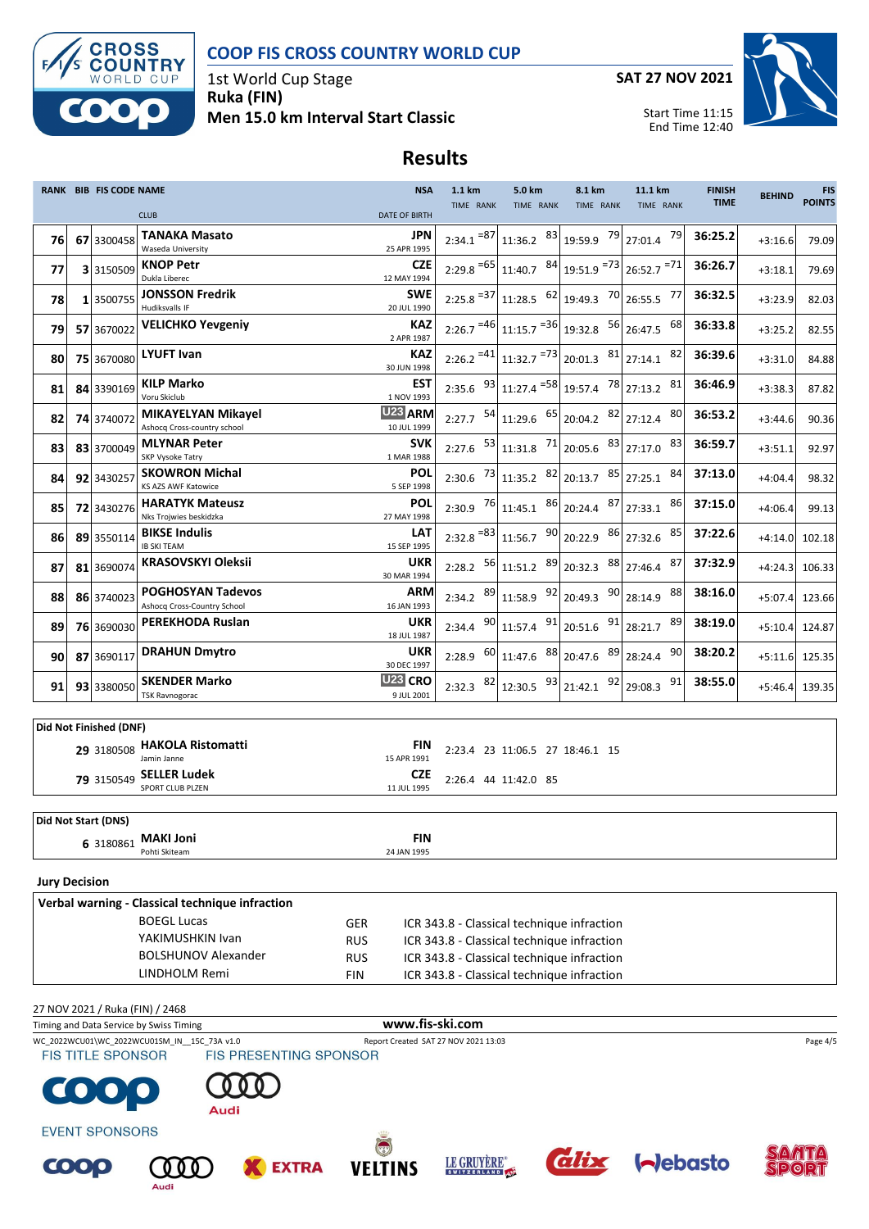

**Results**



1st World Cup Stage **Ruka (FIN) Men 15.0 km Interval Start Classic**



Start Time 11:15

End Time 12:40



|                      |                                                        | <b>RANK BIB FIS CODE NAME</b> |                                                                            | <b>NSA</b>                                       | 1.1 km                  | 5.0 km                                                                                   | 8.1 km                                                                                                    | 11.1 km                       | <b>FINISH</b> | <b>BEHIND</b> | <b>FIS</b>    |  |  |
|----------------------|--------------------------------------------------------|-------------------------------|----------------------------------------------------------------------------|--------------------------------------------------|-------------------------|------------------------------------------------------------------------------------------|-----------------------------------------------------------------------------------------------------------|-------------------------------|---------------|---------------|---------------|--|--|
|                      |                                                        |                               | <b>CLUB</b>                                                                | <b>DATE OF BIRTH</b>                             | TIME RANK               | TIME RANK                                                                                | TIME RANK                                                                                                 | TIME RANK                     | <b>TIME</b>   |               | <b>POINTS</b> |  |  |
| 76                   |                                                        | 67 3300458                    | <b>TANAKA Masato</b><br>Waseda University                                  | JPN<br>25 APR 1995                               |                         |                                                                                          | $2:34.1$ <sup>=87</sup> 11:36.2 $83$ 19:59.9 $79$ 27:01.4                                                 | 79                            | 36:25.2       | $+3:16.6$     | 79.09         |  |  |
| 77                   |                                                        | 3 3150509                     | <b>KNOP Petr</b><br>Dukla Liberec                                          | <b>CZE</b><br>12 MAY 1994                        |                         |                                                                                          | $2:29.8$ = 65 11:40.7 $\left.84\right $ 19:51.9 = 73 26:52.7 = 71                                         |                               | 36:26.7       | $+3:18.1$     | 79.69         |  |  |
| 78                   |                                                        | 1 3500755                     | <b>JONSSON Fredrik</b>                                                     | <b>SWE</b>                                       | $2:25.8$ <sup>=37</sup> |                                                                                          | 11:28.5 $\begin{array}{ c c c c c c c c } \hline 62 & 19:49.3 & 70 & 26:55.5 \hline \end{array}$          | 77                            | 36:32.5       | $+3:23.9$     | 82.03         |  |  |
| 79                   |                                                        | 57 3670022                    | Hudiksvalls IF<br><b>VELICHKO Yevgeniy</b>                                 | 20 JUL 1990<br>KAZ                               |                         |                                                                                          | $2:26.7$ = 46 11:15.7 = 36 19:32.8 56 26:47.5                                                             | 68                            | 36:33.8       | $+3:25.2$     | 82.55         |  |  |
| 80                   |                                                        | 75 3670080                    | <b>LYUFT Ivan</b>                                                          | 2 APR 1987<br><b>KAZ</b>                         |                         |                                                                                          | $2:26.2$ <sup>=41</sup> 11:32.7 <sup>=73</sup> 20:01.3 <sup>81</sup> 27:14.1                              | 82                            | 36:39.6       | $+3:31.0$     | 84.88         |  |  |
| 81                   |                                                        | 84 3390169                    | <b>KILP Marko</b>                                                          | 30 JUN 1998<br><b>EST</b>                        |                         |                                                                                          |                                                                                                           | 81                            | 36:46.9       | $+3:38.3$     | 87.82         |  |  |
|                      |                                                        |                               | Voru Skiclub<br><b>MIKAYELYAN Mikayel</b>                                  | 1 NOV 1993<br>U <sub>23</sub> ARM                |                         |                                                                                          |                                                                                                           | 80                            | 36:53.2       |               |               |  |  |
| 82                   |                                                        | 74 3740072                    | Ashocq Cross-country school                                                | 10 JUL 1999                                      |                         |                                                                                          |                                                                                                           |                               |               | $+3:44.6$     | 90.36         |  |  |
| 83                   |                                                        | 83 3700049                    | <b>MLYNAR Peter</b><br>SKP Vysoke Tatry                                    | <b>SVK</b><br>1 MAR 1988                         | 2:27.6                  | $\begin{array}{ c c c c c c } \hline 53 & 11:31.8 & 71 & 20:05.6 \hline \end{array}$     |                                                                                                           | 83 27:17.0<br>83              | 36:59.7       | $+3:51.1$     | 92.97         |  |  |
| 84                   |                                                        | 92 3430257                    | <b>SKOWRON Michal</b><br><b>KS AZS AWF Katowice</b>                        | <b>POL</b><br>5 SEP 1998                         |                         |                                                                                          |                                                                                                           | 84                            | 37:13.0       | $+4:04.4$     | 98.32         |  |  |
| 85                   |                                                        | 72 3430276                    | <b>HARATYK Mateusz</b><br>Nks Troiwies beskidzka                           | <b>POL</b><br>27 MAY 1998                        | 2:30.9                  | $76$ 11:45.1 $86$ 20:24.4                                                                |                                                                                                           | $87$ 27:33.1<br>86            | 37:15.0       | $+4:06.4$     | 99.13         |  |  |
| 86                   |                                                        | 89 3550114                    | <b>BIKSE Indulis</b><br><b>IB SKI TEAM</b>                                 | <b>LAT</b><br>15 SEP 1995                        |                         |                                                                                          | $2:32.8$ <sup>=83</sup> 11:56.7 90 20:22.9 86 27:32.6                                                     | 85                            | 37:22.6       | $+4:14.0$     | 102.18        |  |  |
| 87                   |                                                        | 81 3690074                    | <b>KRASOVSKYI Oleksii</b>                                                  | <b>UKR</b><br>30 MAR 1994                        | $2:28.2$ 56             |                                                                                          | $\begin{vmatrix} 11:51.2 & 89 \\ 20:32.3 & 88 \\ 27:46.4 & 11 \end{vmatrix}$                              | 87                            | 37:32.9       | $+4:24.3$     | 106.33        |  |  |
| 88                   |                                                        | 86 3740023                    | <b>POGHOSYAN Tadevos</b><br>Ashocq Cross-Country School                    | <b>ARM</b><br>16 JAN 1993                        | 89<br>2:34.2            | $11:58.9$ $92$ 20:49.3                                                                   |                                                                                                           | 90 28:14.9<br>88              | 38:16.0       | $+5:07.4$     | 123.66        |  |  |
| 89                   |                                                        | 76 3690030                    | PEREKHODA Ruslan                                                           | UKR                                              |                         |                                                                                          | 2:34.4 $90 \begin{bmatrix} 11.57.4 & 91 \end{bmatrix}$ 20:51.6 $91 \begin{bmatrix} 28.21.7 \end{bmatrix}$ | 89                            | 38:19.0       | $+5:10.4$     | 124.87        |  |  |
| 90                   |                                                        | 87 3690117                    | <b>DRAHUN Dmytro</b>                                                       | 18 JUL 1987<br><b>UKR</b>                        |                         |                                                                                          | 2:28.9 $^{60}$ 11:47.6 $^{88}$ 20:47.6 $^{89}$ 28:24.4                                                    | 90                            | 38:20.2       | $+5:11.6$     | 125.35        |  |  |
| 91                   |                                                        | 93 3380050                    | <b>SKENDER Marko</b><br><b>TSK Ravnogorac</b>                              | 30 DEC 1997<br>U <sub>23</sub> CRO<br>9 JUL 2001 | $2:32.3$ 82             | $12:30.5$ $93$ 21:42.1                                                                   |                                                                                                           | $92$ 29:08.3<br>91            | 38:55.0       | $+5:46.4$     | 139.35        |  |  |
|                      |                                                        |                               |                                                                            |                                                  |                         |                                                                                          |                                                                                                           |                               |               |               |               |  |  |
|                      |                                                        | Did Not Finished (DNF)        |                                                                            |                                                  |                         |                                                                                          |                                                                                                           |                               |               |               |               |  |  |
|                      |                                                        |                               | 29 3180508 HAKOLA Ristomatti<br>Jamin Janne                                | <b>FIN</b><br>15 APR 1991                        |                         | 2:23.4 23 11:06.5 27 18:46.1 15                                                          |                                                                                                           |                               |               |               |               |  |  |
|                      |                                                        | 79 3150549                    | <b>SELLER Ludek</b><br>SPORT CLUB PLZEN                                    | <b>CZE</b><br>11 JUL 1995                        |                         | 2:26.4 44 11:42.0 85                                                                     |                                                                                                           |                               |               |               |               |  |  |
|                      |                                                        | Did Not Start (DNS)           |                                                                            |                                                  |                         |                                                                                          |                                                                                                           |                               |               |               |               |  |  |
|                      |                                                        | 6 3180861                     | <b>MAKI Joni</b>                                                           | <b>FIN</b>                                       |                         |                                                                                          |                                                                                                           |                               |               |               |               |  |  |
|                      |                                                        |                               | Pohti Skiteam                                                              | 24 JAN 1995                                      |                         |                                                                                          |                                                                                                           |                               |               |               |               |  |  |
| <b>Jury Decision</b> |                                                        |                               |                                                                            |                                                  |                         |                                                                                          |                                                                                                           |                               |               |               |               |  |  |
|                      |                                                        |                               | Verbal warning - Classical technique infraction                            |                                                  |                         |                                                                                          |                                                                                                           |                               |               |               |               |  |  |
|                      |                                                        |                               | <b>BOEGL Lucas</b><br>YAKIMUSHKIN Ivan                                     | GER                                              |                         |                                                                                          | ICR 343.8 - Classical technique infraction                                                                |                               |               |               |               |  |  |
|                      | <b>RUS</b><br><b>BOLSHUNOV Alexander</b><br><b>RUS</b> |                               |                                                                            |                                                  |                         | ICR 343.8 - Classical technique infraction<br>ICR 343.8 - Classical technique infraction |                                                                                                           |                               |               |               |               |  |  |
|                      | LINDHOLM Remi<br><b>FIN</b>                            |                               |                                                                            |                                                  |                         | ICR 343.8 - Classical technique infraction                                               |                                                                                                           |                               |               |               |               |  |  |
|                      |                                                        |                               |                                                                            |                                                  |                         |                                                                                          |                                                                                                           |                               |               |               |               |  |  |
|                      |                                                        |                               | 27 NOV 2021 / Ruka (FIN) / 2468<br>Timing and Data Service by Swiss Timing | www.fis-ski.com                                  |                         |                                                                                          |                                                                                                           |                               |               |               |               |  |  |
|                      |                                                        |                               | WC_2022WCU01\WC_2022WCU01SM_IN__15C_73A v1.0                               | Report Created SAT 27 NOV 2021 13:03             |                         |                                                                                          |                                                                                                           |                               |               |               | Page 4/5      |  |  |
|                      |                                                        | <b>FIS TITLE SPONSOR</b>      | FIS PRESENTING SPONSOR                                                     |                                                  |                         |                                                                                          |                                                                                                           |                               |               |               |               |  |  |
| <b>CO</b>            |                                                        |                               |                                                                            |                                                  |                         |                                                                                          |                                                                                                           |                               |               |               |               |  |  |
|                      |                                                        |                               | Audi                                                                       |                                                  |                         |                                                                                          |                                                                                                           |                               |               |               |               |  |  |
|                      |                                                        | <b>EVENT SPONSORS</b>         |                                                                            |                                                  |                         |                                                                                          |                                                                                                           |                               |               |               |               |  |  |
| <b>COOO</b>          |                                                        |                               | <b>X</b> EXTRA<br>(000)                                                    | <b>VELTINS</b>                                   | LE GRUYÈRE®             |                                                                                          |                                                                                                           | <b><i>alix</i> I</b> ~lebasto |               |               |               |  |  |





**X** EXTRA